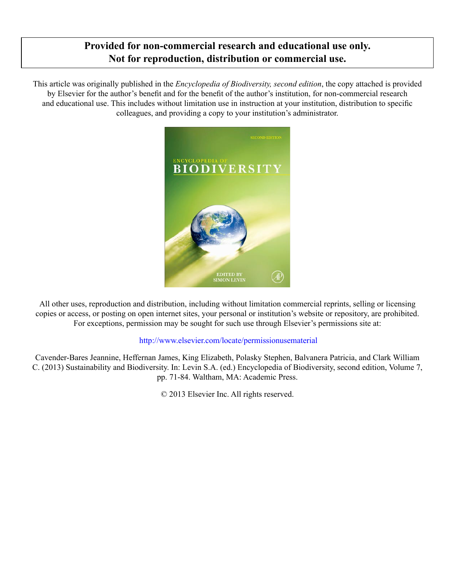# **Provided for non-commercial research and educational use only. Not for reproduction, distribution or commercial use.**

This article was originally published in the *Encyclopedia of Biodiversity, second edition*, the copy attached is provided by Elsevier for the author's benefit and for the benefit of the author's institution, for non-commercial research and educational use. This includes without limitation use in instruction at your institution, distribution to specific colleagues, and providing a copy to your institution's administrator.



All other uses, reproduction and distribution, including without limitation commercial reprints, selling or licensing copies or access, or posting on open internet sites, your personal or institution's website or repository, are prohibited. For exceptions, permission may be sought for such use through Elsevier's permissions site at:

# http://www.elsevier.com/locate/permissionusematerial

Cavender-Bares Jeannine, Heffernan James, King Elizabeth, Polasky Stephen, Balvanera Patricia, and Clark William C. (2013) Sustainability and Biodiversity. In: Levin S.A. (ed.) Encyclopedia of Biodiversity, second edition, Volume 7, pp. 71-84. Waltham, MA: Academic Press.

© 2013 Elsevier Inc. All rights reserved.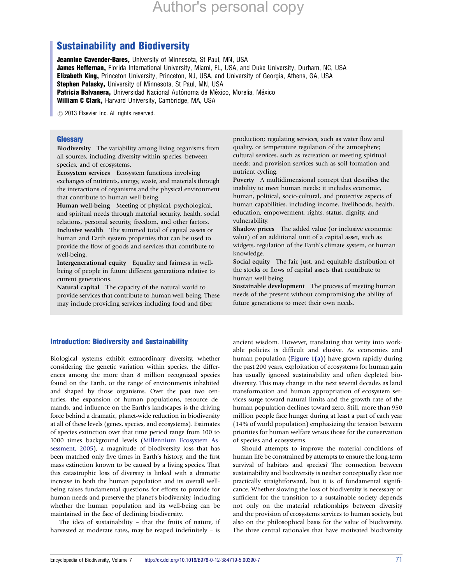# Author's personal copy

# Sustainability and Biodiversity

Jeannine Cavender-Bares, University of Minnesota, St Paul, MN, USA James Heffernan, Florida International University, Miami, FL, USA, and Duke University, Durham, NC, USA **Elizabeth King, Princeton University, Princeton, NJ, USA, and University of Georgia, Athens, GA, USA** Stephen Polasky, University of Minnesota, St Paul, MN, USA Patricia Balvanera, Universidad Nacional Autónoma de México, Morelia, México William C Clark, Harvard University, Cambridge, MA, USA

 $\odot$  2013 Elsevier Inc. All rights reserved.

# **Glossary**

Biodiversity The variability among living organisms from all sources, including diversity within species, between species, and of ecosystems.

Ecosystem services Ecosystem functions involving exchanges of nutrients, energy, waste, and materials through the interactions of organisms and the physical environment that contribute to human well-being.

Human well-being Meeting of physical, psychological, and spiritual needs through material security, health, social relations, personal security, freedom, and other factors. Inclusive wealth The summed total of capital assets or human and Earth system properties that can be used to provide the flow of goods and services that contribute to well-being.

Intergenerational equity Equality and fairness in wellbeing of people in future different generations relative to current generations.

Natural capital The capacity of the natural world to provide services that contribute to human well-being. These may include providing services including food and fiber

# Introduction: Biodiversity and Sustainability

Biological systems exhibit extraordinary diversity, whether considering the genetic variation within species, the differences among the more than 8 million recognized species found on the Earth, or the range of environments inhabited and shaped by those organisms. Over the past two centuries, the expansion of human populations, resource demands, and influence on the Earth's landscapes is the driving force behind a dramatic, planet-wide reduction in biodiversity at all of these levels (genes, species, and ecosystems). Estimates of species extinction over that time period range from 100 to 1000 times background levels [\(Millennium Ecosystem As](#page-14-0)[sessment,](#page-14-0) 2005), a magnitude of biodiversity loss that has been matched only five times in Earth's history, and the first mass extinction known to be caused by a living species. That this catastrophic loss of diversity is linked with a dramatic increase in both the human population and its overall wellbeing raises fundamental questions for efforts to provide for human needs and preserve the planet's biodiversity, including whether the human population and its well-being can be maintained in the face of declining biodiversity.

The idea of sustainability – that the fruits of nature, if harvested at moderate rates, may be reaped indefinitely – is

production; regulating services, such as water flow and quality, or temperature regulation of the atmosphere; cultural services, such as recreation or meeting spiritual needs; and provision services such as soil formation and nutrient cycling.

Poverty A multidimensional concept that describes the inability to meet human needs; it includes economic, human, political, socio-cultural, and protective aspects of human capabilities, including income, livelihoods, health, education, empowerment, rights, status, dignity, and vulnerability.

Shadow prices The added value (or inclusive economic value) of an additional unit of a capital asset, such as widgets, regulation of the Earth's climate system, or human knowledge.

Social equity The fair, just, and equitable distribution of the stocks or flows of capital assets that contribute to human well-being.

Sustainable development The process of meeting human needs of the present without compromising the ability of future generations to meet their own needs.

ancient wisdom. However, translating that verity into workable policies is difficult and elusive. As economies and human population (Figure  $1(a)$ ) have grown rapidly during the past 200 years, exploitation of ecosystems for human gain has usually ignored sustainability and often depleted biodiversity. This may change in the next several decades as land transformation and human appropriation of ecosystem services surge toward natural limits and the growth rate of the human population declines toward zero. Still, more than 950 million people face hunger during at least a part of each year (14% of world population) emphasizing the tension between priorities for human welfare versus those for the conservation of species and ecosystems.

Should attempts to improve the material conditions of human life be constrained by attempts to ensure the long-term survival of habitats and species? The connection between sustainability and biodiversity is neither conceptually clear nor practically straightforward, but it is of fundamental significance. Whether slowing the loss of biodiversity is necessary or sufficient for the transition to a sustainable society depends not only on the material relationships between diversity and the provision of ecosystems services to human society, but also on the philosophical basis for the value of biodiversity. The three central rationales that have motivated biodiversity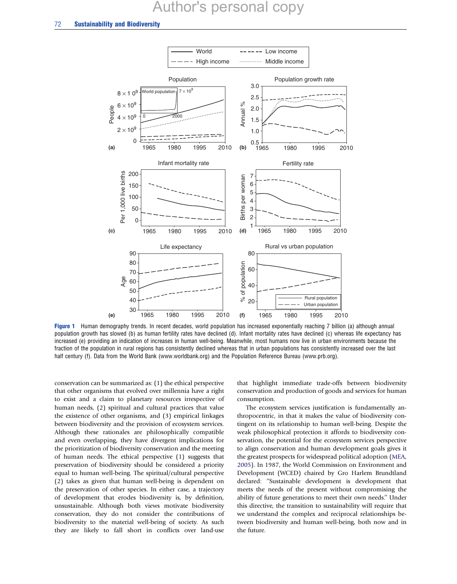<span id="page-2-0"></span>

Figure 1 Human demography trends. In recent decades, world population has increased exponentially reaching 7 billion (a) although annual population growth has slowed (b) as human fertility rates have declined (d). Infant mortality rates have declined (c) whereas life expectancy has increased (e) providing an indication of increases in human well-being. Meanwhile, most humans now live in urban environments because the fraction of the population in rural regions has consistently declined whereas that in urban populations has consistently increased over the last half century (f). Data from the World Bank (www.worldbank.org) and the Population Reference Bureau (www.prb.org).

conservation can be summarized as: (1) the ethical perspective that other organisms that evolved over millennia have a right to exist and a claim to planetary resources irrespective of human needs, (2) spiritual and cultural practices that value the existence of other organisms, and (3) empirical linkages between biodiversity and the provision of ecosystem services. Although these rationales are philosophically compatible and even overlapping, they have divergent implications for the prioritization of biodiversity conservation and the meeting of human needs. The ethical perspective (1) suggests that preservation of biodiversity should be considered a priority equal to human well-being. The spiritual/cultural perspective (2) takes as given that human well-being is dependent on the preservation of other species. In either case, a trajectory of development that erodes biodiversity is, by definition, unsustainable. Although both views motivate biodiversity conservation, they do not consider the contributions of biodiversity to the material well-being of society. As such they are likely to fall short in conflicts over land-use

that highlight immediate trade-offs between biodiversity conservation and production of goods and services for human consumption.

The ecosystem services justification is fundamentally anthropocentric, in that it makes the value of biodiversity contingent on its relationship to human well-being. Despite the weak philosophical protection it affords to biodiversity conservation, the potential for the ecosystem services perspective to align conservation and human development goals gives it the greatest prospects for widespread political adoption [\(MEA,](#page-14-0) [2005](#page-14-0)). In 1987, the World Commission on Environment and Development (WCED) chaired by Gro Harlem Brundtland declared: ''Sustainable development is development that meets the needs of the present without compromising the ability of future generations to meet their own needs.'' Under this directive, the transition to sustainability will require that we understand the complex and reciprocal relationships between biodiversity and human well-being, both now and in the future.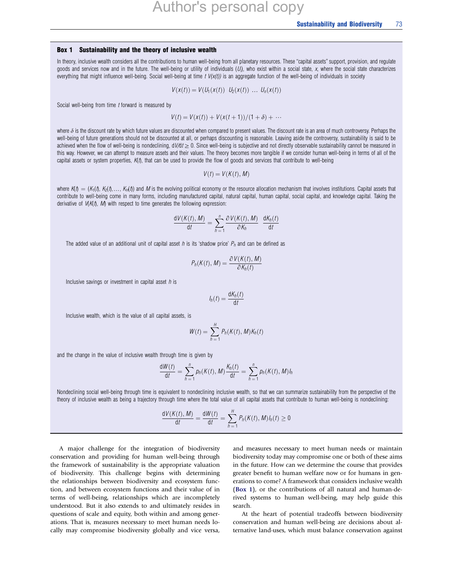#### Box 1 Sustainability and the theory of inclusive wealth

In theory, inclusive wealth considers all the contributions to human well-being from all planetary resources. These "capital assets" support, provision, and regulate goods and services now and in the future. The well-being or utility of individuals  $(U_{\theta})$ , who exist within a social state, x, where the social state characterizes everything that might influence well-being. Social well-being at time  $t V(x(t))$  is an aggregate function of the well-being of individuals in society

$$
V(x(t)) = V(U_1(x(t)) U_2(x(t)) ... U_n(x(t))
$$

Social well-being from time t forward is measured by

$$
V(t) = V(x(t)) + V(x(t+1))/(1+\delta) + \cdots
$$

where  $\delta$  is the discount rate by which future values are discounted when compared to present values. The discount rate is an area of much controversy. Perhaps the well-being of future generations should not be discounted at all, or perhaps discounting is reasonable. Leaving aside the controversy, sustainability is said to be achieved when the flow of well-being is nondeclining,  $dV/dt \geq 0$ . Since well-being is subjective and not directly observable sustainability cannot be measured in this way. However, we can attempt to measure assets and their values. The theory becomes more tangible if we consider human well-being in terms of all of the capital assets or system properties,  $K(t)$ , that can be used to provide the flow of goods and services that contribute to well-being

$$
V(t) = V(K(t), M)
$$

where  $K(t) = (K_1(t), K_2(t),..., K_r(t))$  and M is the evolving political economy or the resource allocation mechanism that involves institutions. Capital assets that contribute to well-being come in many forms, including manufactured capital, natural capital, human capital, social capital, and knowledge capital. Taking the derivative of  $V(K(\hat{t}), M)$  with respect to time generates the following expression:

$$
\frac{dV(K(t), M)}{dt} = \sum_{h=1}^{n} \frac{\partial V(K(t), M)}{\partial K_h} \frac{dK_h(t)}{dt}
$$

The added value of an additional unit of capital asset h is its 'shadow price'  $P_h$  and can be defined as

$$
P_h(K(t), M) = \frac{\partial V(K(t), M)}{\partial K_h(t)}
$$

Inclusive savings or investment in capital asset  $h$  is

$$
I_h(t) = \frac{\mathrm{d}K_h(t)}{\mathrm{d}t}
$$

Inclusive wealth, which is the value of all capital assets, is

$$
W(t) = \sum_{h=1}^H P_h(K(t), M)K_h(t)
$$

and the change in the value of inclusive wealth through time is given by

$$
\frac{dW(t)}{dt} = \sum_{h=1}^{n} p_h(K(t), M) \frac{K_h(t)}{dt} = \sum_{h=1}^{n} p_h(K(t), M) I_h
$$

Nondeclining social well-being through time is equivalent to nondeclining inclusive wealth, so that we can summarize sustainability from the perspective of the theory of inclusive wealth as being a trajectory through time where the total value of all capital assets that contribute to human well-being is nondeclining:

$$
\frac{dV(K(t),M)}{dt}=\frac{dW(t)}{dt}=\sum_{h=1}^H P_h(K(t),M)I_h(t)\geq 0
$$

A major challenge for the integration of biodiversity conservation and providing for human well-being through the framework of sustainability is the appropriate valuation of biodiversity. This challenge begins with determining the relationships between biodiversity and ecosystem function, and between ecosystem functions and their value of in terms of well-being, relationships which are incompletely understood. But it also extends to and ultimately resides in questions of scale and equity, both within and among generations. That is, measures necessary to meet human needs locally may compromise biodiversity globally and vice versa,

and measures necessary to meet human needs or maintain biodiversity today may compromise one or both of these aims in the future. How can we determine the course that provides greater benefit to human welfare now or for humans in generations to come? A framework that considers inclusive wealth (Box 1), or the contributions of all natural and human-derived systems to human well-being, may help guide this search.

At the heart of potential tradeoffs between biodiversity conservation and human well-being are decisions about alternative land-uses, which must balance conservation against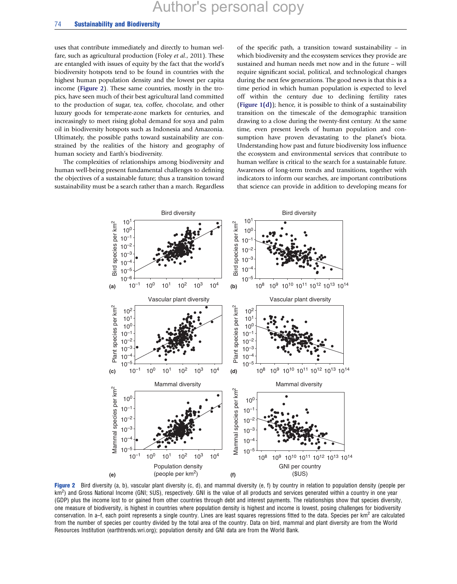#### <span id="page-4-0"></span>74 Sustainability and Biodiversity

uses that contribute immediately and directly to human welfare, such as agricultural production (Foley et al., 2011). These are entangled with issues of equity by the fact that the world's biodiversity hotspots tend to be found in countries with the highest human population density and the lowest per capita income (Figure 2). These same countries, mostly in the tropics, have seen much of their best agricultural land committed to the production of sugar, tea, coffee, chocolate, and other luxury goods for temperate-zone markets for centuries, and increasingly to meet rising global demand for soya and palm oil in biodiversity hotspots such as Indonesia and Amazonia. Ultimately, the possible paths toward sustainability are constrained by the realities of the history and geography of human society and Earth's biodiversity.

The complexities of relationships among biodiversity and human well-being present fundamental challenges to defining the objectives of a sustainable future; thus a transition toward sustainability must be a search rather than a march. Regardless

of the specific path, a transition toward sustainability – in which biodiversity and the ecosystem services they provide are sustained and human needs met now and in the future – will require significant social, political, and technological changes during the next few generations. The good news is that this is a time period in which human population is expected to level off within the century due to declining fertility rates (Figure  $1(d)$ ); hence, it is possible to think of a sustainability transition on the timescale of the demographic transition drawing to a close during the twenty-first century. At the same time, even present levels of human population and consumption have proven devastating to the planet's biota. Understanding how past and future biodiversity loss influence the ecosystem and environmental services that contribute to human welfare is critical to the search for a sustainable future. Awareness of long-term trends and transitions, together with indicators to inform our searches, are important contributions that science can provide in addition to developing means for



Figure 2 Bird diversity (a, b), vascular plant diversity (c, d), and mammal diversity (e, f) by country in relation to population density (people per km<sup>2</sup>) and Gross National Income (GNI; \$US), respectively. GNI is the value of all products and services generated within a country in one year (GDP) plus the income lost to or gained from other countries through debt and interest payments. The relationships show that species diversity, one measure of biodiversity, is highest in countries where population density is highest and income is lowest, posing challenges for biodiversity conservation. In a–f, each point represents a single country. Lines are least squares regressions fitted to the data. Species per  $km^2$  are calculated from the number of species per country divided by the total area of the country. Data on bird, mammal and plant diversity are from the World Resources Institution (earthtrends.wri.org); population density and GNI data are from the World Bank.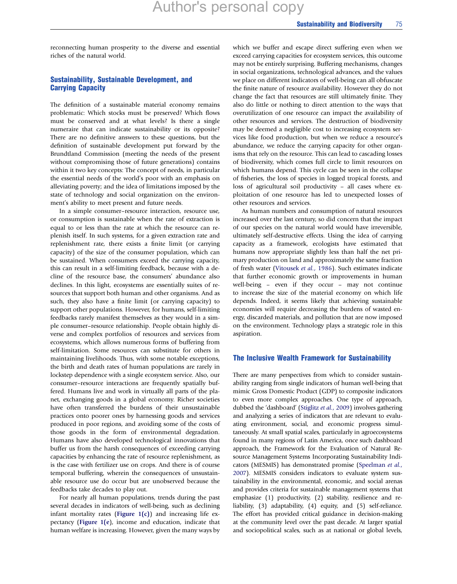reconnecting human prosperity to the diverse and essential riches of the natural world.

# Sustainability, Sustainable Development, and Carrying Capacity

The definition of a sustainable material economy remains problematic: Which stocks must be preserved? Which flows must be conserved and at what levels? Is there a single numeraire that can indicate sustainability or its opposite? There are no definitive answers to these questions, but the definition of sustainable development put forward by the Brundtland Commission (meeting the needs of the present without compromising those of future generations) contains within it two key concepts: The concept of needs, in particular the essential needs of the world's poor with an emphasis on alleviating poverty; and the idea of limitations imposed by the state of technology and social organization on the environment's ability to meet present and future needs.

In a simple consumer–resource interaction, resource use, or consumption is sustainable when the rate of extraction is equal to or less than the rate at which the resource can replenish itself. In such systems, for a given extraction rate and replenishment rate, there exists a finite limit (or carrying capacity) of the size of the consumer population, which can be sustained. When consumers exceed the carrying capacity, this can result in a self-limiting feedback, because with a decline of the resource base, the consumers' abundance also declines. In this light, ecosystems are essentially suites of resources that support both human and other organisms. And as such, they also have a finite limit (or carrying capacity) to support other populations. However, for humans, self-limiting feedbacks rarely manifest themselves as they would in a simple consumer–resource relationship. People obtain highly diverse and complex portfolios of resources and services from ecosystems, which allows numerous forms of buffering from self-limitation. Some resources can substitute for others in maintaining livelihoods. Thus, with some notable exceptions, the birth and death rates of human populations are rarely in lockstep dependence with a single ecosystem service. Also, our consumer–resource interactions are frequently spatially buffered. Humans live and work in virtually all parts of the planet, exchanging goods in a global economy. Richer societies have often transferred the burdens of their unsustainable practices onto poorer ones by harnessing goods and services produced in poor regions, and avoiding some of the costs of those goods in the form of environmental degradation. Humans have also developed technological innovations that buffer us from the harsh consequences of exceeding carrying capacities by enhancing the rate of resource replenishment, as is the case with fertilizer use on crops. And there is of course temporal buffering, wherein the consequences of unsustainable resource use do occur but are unobserved because the feedbacks take decades to play out.

For nearly all human populations, trends during the past several decades in indicators of well-being, such as declining infant mortality rates (Figure  $1(c)$ ) and increasing life expectancy ([Figure 1\(e](#page-2-0)), income and education, indicate that human welfare is increasing. However, given the many ways by

which we buffer and escape direct suffering even when we exceed carrying capacities for ecosystem services, this outcome may not be entirely surprising. Buffering mechanisms, changes in social organizations, technological advances, and the values we place on different indicators of well-being can all obfuscate the finite nature of resource availability. However they do not change the fact that resources are still ultimately finite. They also do little or nothing to direct attention to the ways that overutilization of one resource can impact the availability of other resources and services. The destruction of biodiversity may be deemed a negligible cost to increasing ecosystem services like food production, but when we reduce a resource's abundance, we reduce the carrying capacity for other organisms that rely on the resource. This can lead to cascading losses of biodiversity, which comes full circle to limit resources on which humans depend. This cycle can be seen in the collapse of fisheries, the loss of species in logged tropical forests, and loss of agricultural soil productivity – all cases where exploitation of one resource has led to unexpected losses of other resources and services.

As human numbers and consumption of natural resources increased over the last century, so did concern that the impact of our species on the natural world would have irreversible, ultimately self-destructive effects. Using the idea of carrying capacity as a framework, ecologists have estimated that humans now appropriate slightly less than half the net primary production on land and approximately the same fraction of fresh water [\(Vitousek](#page-14-0) et al., 1986). Such estimates indicate that further economic growth or improvements in human well-being – even if they occur – may not continue to increase the size of the material economy on which life depends. Indeed, it seems likely that achieving sustainable economies will require decreasing the burdens of wasted energy, discarded materials, and pollution that are now imposed on the environment. Technology plays a strategic role in this aspiration.

## The Inclusive Wealth Framework for Sustainability

There are many perspectives from which to consider sustainability ranging from single indicators of human well-being that mimic Gross Domestic Product (GDP) to composite indicators to even more complex approaches. One type of approach, dubbed the 'dashboard' ([Stiglitz](#page-14-0) et al., 2009) involves gathering and analyzing a series of indicators that are relevant to evaluating environment, social, and economic progress simultaneously. At small spatial scales, particularly in agroecosystems found in many regions of Latin America, once such dashboard approach, the Framework for the Evaluation of Natural Resource Management Systems Incorporating Sustainability Indicators (MESMIS) has demonstrated promise [\(Speelman](#page-14-0) et al., [2007\)](#page-14-0). MESMIS considers indicators to evaluate system sustainability in the environmental, economic, and social arenas and provides criteria for sustainable management systems that emphasize (1) productivity, (2) stability, resilience and reliability, (3) adaptability, (4) equity, and (5) self-reliance. The effort has provided critical guidance in decision-making at the community level over the past decade. At larger spatial and sociopolitical scales, such as at national or global levels,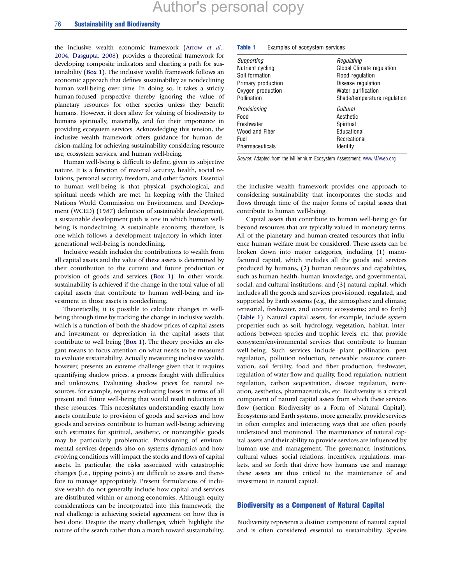#### 76 Sustainability and Biodiversity

the inclusive wealth economic framework [\(Arrow](#page-14-0) et al., [2004](#page-14-0); [Dasgupta, 2008](#page-14-0)), provides a theoretical framework for developing composite indicators and charting a path for sustainability (Box 1). The inclusive wealth framework follows an economic approach that defines sustainability as nondeclining human well-being over time. In doing so, it takes a strictly human-focused perspective thereby ignoring the value of planetary resources for other species unless they benefit humans. However, it does allow for valuing of biodiversity to humans spiritually, materially, and for their importance in providing ecosystem services. Acknowledging this tension, the inclusive wealth framework offers guidance for human decision-making for achieving sustainability considering resource use, ecosystem services, and human well-being.

Human well-being is difficult to define, given its subjective nature. It is a function of material security, health, social relations, personal security, freedom, and other factors. Essential to human well-being is that physical, psychological, and spiritual needs which are met. In keeping with the United Nations World Commission on Environment and Development (WCED) (1987) definition of sustainable development, a sustainable development path is one in which human wellbeing is nondeclining. A sustainable economy, therefore, is one which follows a development trajectory in which intergenerational well-being is nondeclining.

Inclusive wealth includes the contributions to wealth from all capital assets and the value of these assets is determined by their contribution to the current and future production or provision of goods and services (Box 1). In other words, sustainability is achieved if the change in the total value of all capital assets that contribute to human well-being and investment in those assets is nondeclining.

Theoretically, it is possible to calculate changes in wellbeing through time by tracking the change in inclusive wealth, which is a function of both the shadow prices of capital assets and investment or depreciation in the capital assets that contribute to well being (Box 1). The theory provides an elegant means to focus attention on what needs to be measured to evaluate sustainability. Actually measuring inclusive wealth, however, presents an extreme challenge given that it requires quantifying shadow prices, a process fraught with difficulties and unknowns. Evaluating shadow prices for natural resources, for example, requires evaluating losses in terms of all present and future well-being that would result reductions in these resources. This necessitates understanding exactly how assets contribute to provision of goods and services and how goods and services contribute to human well-being; achieving such estimates for spiritual, aesthetic, or nontangible goods may be particularly problematic. Provisioning of environmental services depends also on systems dynamics and how evolving conditions will impact the stocks and flows of capital assets. In particular, the risks associated with catastrophic changes (i.e., tipping points) are difficult to assess and therefore to manage appropriately. Present formulations of inclusive wealth do not generally include how capital and services are distributed within or among economies. Although equity considerations can be incorporated into this framework, the real challenge is achieving societal agreement on how this is best done. Despite the many challenges, which highlight the nature of the search rather than a march toward sustainability,

#### Table 1 Examples of ecosystem services

| Supporting         | Regulating                   |
|--------------------|------------------------------|
| Nutrient cycling   | Global Climate regulation    |
| Soil formation     | Flood regulation             |
| Primary production | Disease regulation           |
| Oxygen production  | Water purification           |
| Pollination        | Shade/temperature regulation |
| Provisioning       | Cultural                     |
| Food               | Aesthetic                    |
| Freshwater         | Spiritual                    |
| Wood and Fiber     | Educational                  |
| Fuel               | Recreational                 |
| Pharmaceuticals    | ldentity                     |

Source: Adapted from the Millennium Ecosystem Assessment: <www.MAweb.org>

the inclusive wealth framework provides one approach to considering sustainability that incorporates the stocks and flows through time of the major forms of capital assets that contribute to human well-being.

Capital assets that contribute to human well-being go far beyond resources that are typically valued in monetary terms. All of the planetary and human-created resources that influence human welfare must be considered. These assets can be broken down into major categories, including (1) manufactured capital, which includes all the goods and services produced by humans, (2) human resources and capabilities, such as human health, human knowledge, and governmental, social, and cultural institutions, and (3) natural capital, which includes all the goods and services provisioned, regulated, and supported by Earth systems (e.g., the atmosphere and climate; terrestrial, freshwater, and oceanic ecosystems; and so forth) (Table 1). Natural capital assets, for example, include system properties such as soil, hydrology, vegetation, habitat, interactions between species and trophic levels, etc. that provide ecosystem/environmental services that contribute to human well-being. Such services include plant pollination, pest regulation, pollution reduction, renewable resource conservation, soil fertility, food and fiber production, freshwater, regulation of water flow and quality, flood regulation, nutrient regulation, carbon sequestration, disease regulation, recreation, aesthetics, pharmaceuticals, etc. Biodiversity is a critical component of natural capital assets from which these services flow (section Biodiversity as a Form of Natural Capital). Ecosystems and Earth systems, more generally, provide services in often complex and interacting ways that are often poorly understood and monitored. The maintenance of natural capital assets and their ability to provide services are influenced by human use and management. The governance, institutions, cultural values, social relations, incentives, regulations, markets, and so forth that drive how humans use and manage these assets are thus critical to the maintenance of and investment in natural capital.

## Biodiversity as a Component of Natural Capital

Biodiversity represents a distinct component of natural capital and is often considered essential to sustainability. Species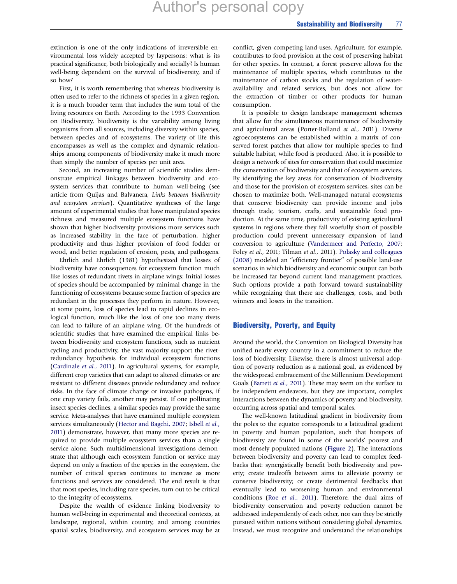extinction is one of the only indications of irreversible environmental loss widely accepted by laypersons; what is its practical significance, both biologically and socially? Is human well-being dependent on the survival of biodiversity, and if so how?

First, it is worth remembering that whereas biodiversity is often used to refer to the richness of species in a given region, it is a much broader term that includes the sum total of the living resources on Earth. According to the 1993 Convention on Biodiversity, biodiversity is the variability among living organisms from all sources, including diversity within species, between species and of ecosystems. The variety of life this encompasses as well as the complex and dynamic relationships among components of biodiversity make it much more than simply the number of species per unit area.

Second, an increasing number of scientific studies demonstrate empirical linkages between biodiversity and ecosystem services that contribute to human well-being (see article from Quijas and Balvanera, Links between biodiversity and ecosystem services). Quantitative syntheses of the large amount of experimental studies that have manipulated species richness and measured multiple ecosystem functions have shown that higher biodiversity provisions more services such as increased stability in the face of perturbation, higher productivity and thus higher provision of food fodder or wood, and better regulation of erosion, pests, and pathogens.

Ehrlich and Ehrlich (1981) hypothesized that losses of biodiversity have consequences for ecosystem function much like losses of redundant rivets in airplane wings: Initial losses of species should be accompanied by minimal change in the functioning of ecosystems because some fraction of species are redundant in the processes they perform in nature. However, at some point, loss of species lead to rapid declines in ecological function, much like the loss of one too many rivets can lead to failure of an airplane wing. Of the hundreds of scientific studies that have examined the empirical links between biodiversity and ecosystem functions, such as nutrient cycling and productivity, the vast majority support the rivetredundancy hypothesis for individual ecosystem functions ([Cardinale](#page-14-0) et al., 2011). In agricultural systems, for example, different crop varieties that can adapt to altered climates or are resistant to different diseases provide redundancy and reduce risks. In the face of climate change or invasive pathogens, if one crop variety fails, another may persist. If one pollinating insect species declines, a similar species may provide the same service. Meta-analyses that have examined multiple ecosystem services simultaneously ([Hector and Bagchi, 2007;](#page-14-0) [Isbell](#page-14-0) et al., [2011](#page-14-0)) demonstrate, however, that many more species are required to provide multiple ecosystem services than a single service alone. Such multidimensional investigations demonstrate that although each ecosystem function or service may depend on only a fraction of the species in the ecosystem, the number of critical species continues to increase as more functions and services are considered. The end result is that that most species, including rare species, turn out to be critical to the integrity of ecosystems.

Despite the wealth of evidence linking biodiversity to human well-being in experimental and theoretical contexts, at landscape, regional, within country, and among countries spatial scales, biodiversity, and ecosystem services may be at

conflict, given competing land-uses. Agriculture, for example, contributes to food provision at the cost of preserving habitat for other species. In contrast, a forest preserve allows for the maintenance of multiple species, which contributes to the maintenance of carbon stocks and the regulation of wateravailability and related services, but does not allow for the extraction of timber or other products for human consumption.

It is possible to design landscape management schemes that allow for the simultaneous maintenance of biodiversity and agricultural areas (Porter-Bolland et al., 2011). Diverse agroecosystems can be established within a matrix of conserved forest patches that allow for multiple species to find suitable habitat, while food is produced. Also, it is possible to design a network of sites for conservation that could maximize the conservation of biodiversity and that of ecosystem services. By identifying the key areas for conservation of biodiversity and those for the provision of ecosystem services, sites can be chosen to maximize both. Well-managed natural ecosystems that conserve biodiversity can provide income and jobs through trade, tourism, crafts, and sustainable food production. At the same time, productivity of existing agricultural systems in regions where they fall woefully short of possible production could prevent unnecessary expansion of land conversion to agriculture ([Vandermeer and Perfecto, 2007;](#page-14-0) Foley et al., 2011; Tilman et al., 2011). [Polasky and colleagues](#page-14-0) [\(2008\)](#page-14-0) modeled an ''efficiency frontier'' of possible land-use scenarios in which biodiversity and economic output can both be increased far beyond current land management practices. Such options provide a path forward toward sustainability while recognizing that there are challenges, costs, and both winners and losers in the transition.

# Biodiversity, Poverty, and Equity

Around the world, the Convention on Biological Diversity has unified nearly every country in a commitment to reduce the loss of biodiversity. Likewise, there is almost universal adoption of poverty reduction as a national goal, as evidenced by the widespread embracement of the Millennium Development Goals [\(Barrett](#page-14-0) et al., 2011). These may seem on the surface to be independent endeavors, but they are important, complex interactions between the dynamics of poverty and biodiversity, occurring across spatial and temporal scales.

The well-known latitudinal gradient in biodiversity from the poles to the equator corresponds to a latitudinal gradient in poverty and human population, such that hotspots of biodiversity are found in some of the worlds' poorest and most densely populated nations ([Figure 2](#page-4-0)). The interactions between biodiversity and poverty can lead to complex feedbacks that: synergistically benefit both biodiversity and poverty; create tradeoffs between aims to alleviate poverty or conserve biodiversity; or create detrimental feedbacks that eventually lead to worsening human and environmental conditions (Roe et al.[, 2011\)](#page-14-0). Therefore, the dual aims of biodiversity conservation and poverty reduction cannot be addressed independently of each other, nor can they be strictly pursued within nations without considering global dynamics. Instead, we must recognize and understand the relationships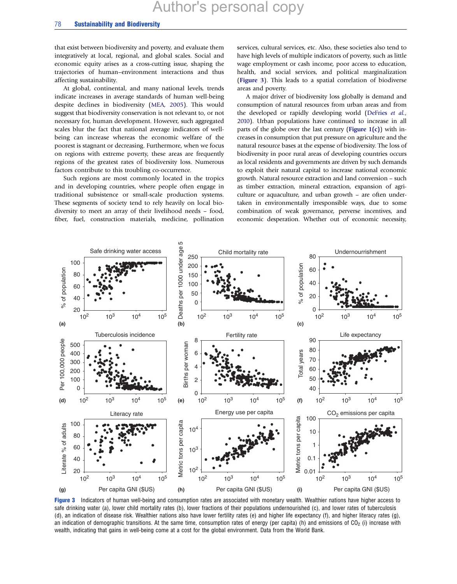<span id="page-8-0"></span>that exist between biodiversity and poverty, and evaluate them integratively at local, regional, and global scales. Social and economic equity arises as a cross-cutting issue, shaping the trajectories of human–environment interactions and thus affecting sustainability.

At global, continental, and many national levels, trends indicate increases in average standards of human well-being despite declines in biodiversity ([MEA, 2005\)](#page-14-0). This would suggest that biodiversity conservation is not relevant to, or not necessary for, human development. However, such aggregated scales blur the fact that national average indicators of wellbeing can increase whereas the economic welfare of the poorest is stagnant or decreasing. Furthermore, when we focus on regions with extreme poverty, these areas are frequently regions of the greatest rates of biodiversity loss. Numerous factors contribute to this troubling co-occurrence.

Such regions are most commonly located in the tropics and in developing countries, where people often engage in traditional subsistence or small-scale production systems. These segments of society tend to rely heavily on local biodiversity to meet an array of their livelihood needs – food, fiber, fuel, construction materials, medicine, pollination

services, cultural services, etc. Also, these societies also tend to have high levels of multiple indicators of poverty, such as little wage employment or cash income, poor access to education, health, and social services, and political marginalization (Figure 3). This leads to a spatial correlation of biodiverse areas and poverty.

A major driver of biodiversity loss globally is demand and consumption of natural resources from urban areas and from the developed or rapidly developing world ([DeFries](#page-14-0) et al., [2010\)](#page-14-0). Urban populations have continued to increase in all parts of the globe over the last century (Figure  $1(c)$ ) with increases in consumption that put pressure on agriculture and the natural resource bases at the expense of biodiversity. The loss of biodiversity in poor rural areas of developing countries occurs as local residents and governments are driven by such demands to exploit their natural capital to increase national economic growth. Natural resource extraction and land conversion – such as timber extraction, mineral extraction, expansion of agriculture or aquaculture, and urban growth – are often undertaken in environmentally irresponsible ways, due to some combination of weak governance, perverse incentives, and economic desperation. Whether out of economic necessity,



Figure 3 Indicators of human well-being and consumption rates are associated with monetary wealth. Wealthier nations have higher access to safe drinking water (a), lower child mortality rates (b), lower fractions of their populations undernourished (c), and lower rates of tuberculosis (d), an indication of disease risk. Wealthier nations also have lower fertility rates (e) and higher life expectancy (f), and higher literacy rates (g), an indication of demographic transitions. At the same time, consumption rates of energy (per capita) (h) and emissions of  $CO<sub>2</sub>$  (i) increase with wealth, indicating that gains in well-being come at a cost for the global environment. Data from the World Bank.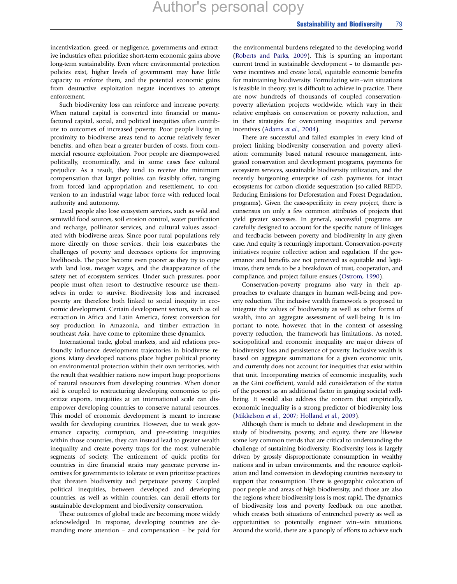incentivization, greed, or negligence, governments and extractive industries often prioritize short-term economic gains above long-term sustainability. Even where environmental protection policies exist, higher levels of government may have little capacity to enforce them, and the potential economic gains from destructive exploitation negate incentives to attempt enforcement.

Such biodiversity loss can reinforce and increase poverty. When natural capital is converted into financial or manufactured capital, social, and political inequities often contribute to outcomes of increased poverty. Poor people living in proximity to biodiverse areas tend to accrue relatively fewer benefits, and often bear a greater burden of costs, from commercial resource exploitation. Poor people are disempowered politically, economically, and in some cases face cultural prejudice. As a result, they tend to receive the minimum compensation that larger polities can feasibly offer, ranging from forced land appropriation and resettlement, to conversion to an industrial wage labor force with reduced local authority and autonomy.

Local people also lose ecosystem services, such as wild and semiwild food sources, soil erosion control, water purification and recharge, pollinator services, and cultural values associated with biodiverse areas. Since poor rural populations rely more directly on those services, their loss exacerbates the challenges of poverty and decreases options for improving livelihoods. The poor become even poorer as they try to cope with land loss, meager wages, and the disappearance of the safety net of ecosystem services. Under such pressures, poor people must often resort to destructive resource use themselves in order to survive. Biodiversity loss and increased poverty are therefore both linked to social inequity in economic development. Certain development sectors, such as oil extraction in Africa and Latin America, forest conversion for soy production in Amazonia, and timber extraction in southeast Asia, have come to epitomize these dynamics.

International trade, global markets, and aid relations profoundly influence development trajectories in biodiverse regions. Many developed nations place higher political priority on environmental protection within their own territories, with the result that wealthier nations now import huge proportions of natural resources from developing countries. When donor aid is coupled to restructuring developing economies to prioritize exports, inequities at an international scale can disempower developing countries to conserve natural resources. This model of economic development is meant to increase wealth for developing countries. However, due to weak governance capacity, corruption, and pre-existing inequities within those countries, they can instead lead to greater wealth inequality and create poverty traps for the most vulnerable segments of society. The enticement of quick profits for countries in dire financial straits may generate perverse incentives for governments to tolerate or even prioritize practices that threaten biodiversity and perpetuate poverty. Coupled political inequities, between developed and developing countries, as well as within countries, can derail efforts for sustainable development and biodiversity conservation.

These outcomes of global trade are becoming more widely acknowledged. In response, developing countries are demanding more attention – and compensation – be paid for the environmental burdens relegated to the developing world ([Roberts and Parks, 2009\)](#page-14-0). This is spurring an important current trend in sustainable development – to dismantle perverse incentives and create local, equitable economic benefits for maintaining biodiversity. Formulating win–win situations is feasible in theory, yet is difficult to achieve in practice. There are now hundreds of thousands of coupled conservationpoverty alleviation projects worldwide, which vary in their relative emphasis on conservation or poverty reduction, and in their strategies for overcoming inequities and perverse incentives (Adams et al[., 2004](#page-14-0)).

There are successful and failed examples in every kind of project linking biodiversity conservation and poverty alleviation: community based natural resource management, integrated conservation and development programs, payments for ecosystem services, sustainable biodiversity utilization, and the recently burgeoning enterprise of cash payments for intact ecosystems for carbon dioxide sequestration (so-called REDD, Reducing Emissions for Deforestation and Forest Degradation, programs). Given the case-specificity in every project, there is consensus on only a few common attributes of projects that yield greater successes. In general, successful programs are carefully designed to account for the specific nature of linkages and feedbacks between poverty and biodiversity in any given case. And equity is recurringly important. Conservation-poverty initiatives require collective action and regulation. If the governance and benefits are not perceived as equitable and legitimate, there tends to be a breakdown of trust, cooperation, and compliance, and project failure ensues ([Ostrom, 1990\)](#page-14-0).

Conservation-poverty programs also vary in their approaches to evaluate changes in human well-being and poverty reduction. The inclusive wealth framework is proposed to integrate the values of biodiversity as well as other forms of wealth, into an aggregate assessment of well-being. It is important to note, however, that in the context of assessing poverty reduction, the framework has limitations. As noted, sociopolitical and economic inequality are major drivers of biodiversity loss and persistence of poverty. Inclusive wealth is based on aggregate summations for a given economic unit, and currently does not account for inequities that exist within that unit. Incorporating metrics of economic inequality, such as the Gini coefficient, would add consideration of the status of the poorest as an additional factor in gauging societal wellbeing. It would also address the concern that empirically, economic inequality is a strong predictor of biodiversity loss ([Mikkelson](#page-14-0) et al., 2007; [Holland](#page-14-0) et al., 2009).

Although there is much to debate and development in the study of biodiversity, poverty, and equity, there are likewise some key common trends that are critical to understanding the challenge of sustaining biodiversity. Biodiversity loss is largely driven by grossly disproportionate consumption in wealthy nations and in urban environments, and the resource exploitation and land conversion in developing countries necessary to support that consumption. There is geographic colocation of poor people and areas of high biodiversity, and those are also the regions where biodiversity loss is most rapid. The dynamics of biodiversity loss and poverty feedback on one another, which creates both situations of entrenched poverty as well as opportunities to potentially engineer win–win situations. Around the world, there are a panoply of efforts to achieve such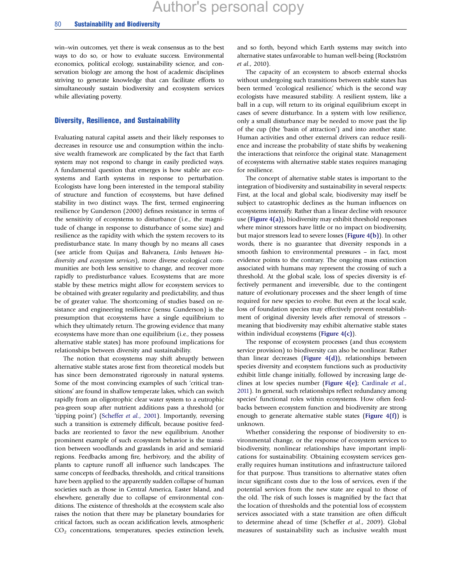<span id="page-10-0"></span>win–win outcomes, yet there is weak consensus as to the best ways to do so, or how to evaluate success. Environmental economics, political ecology, sustainability science, and conservation biology are among the host of academic disciplines striving to generate knowledge that can facilitate efforts to simultaneously sustain biodiversity and ecosystem services while alleviating poverty.

## Diversity, Resilience, and Sustainability

Evaluating natural capital assets and their likely responses to decreases in resource use and consumption within the inclusive wealth framework are complicated by the fact that Earth system may not respond to change in easily predicted ways. A fundamental question that emerges is how stable are ecosystems and Earth systems in response to perturbation. Ecologists have long been interested in the temporal stability of structure and function of ecosystems, but have defined stability in two distinct ways. The first, termed engineering resilience by Gunderson (2000) defines resistance in terms of the sensitivity of ecosystems to disturbance (i.e., the magnitude of change in response to disturbance of some size) and resilience as the rapidity with which the system recovers to its predisturbance state. In many though by no means all cases (see article from Quijas and Balvanera, Links between biodiversity and ecosystem services), more diverse ecological communities are both less sensitive to change, and recover more rapidly to predisturbance values. Ecosystems that are more stable by these metrics might allow for ecosystem services to be obtained with greater regularity and predictability, and thus be of greater value. The shortcoming of studies based on resistance and engineering resilience (sensu Gunderson) is the presumption that ecosystems have a single equilibrium to which they ultimately return. The growing evidence that many ecosystems have more than one equilibrium (i.e., they possess alternative stable states) has more profound implications for relationships between diversity and sustainability.

The notion that ecosystems may shift abruptly between alternative stable states arose first from theoretical models but has since been demonstrated rigorously in natural systems. Some of the most convincing examples of such 'critical transitions' are found in shallow temperate lakes, which can switch rapidly from an oligotrophic clear water system to a eutrophic pea-green soup after nutrient additions pass a threshold (or 'tipping point') ([Scheffer](#page-14-0) et al., 2001). Importantly, reversing such a transition is extremely difficult, because positive feedbacks are reoriented to favor the new equilibrium. Another prominent example of such ecosystem behavior is the transition between woodlands and grasslands in arid and semiarid regions. Feedbacks among fire, herbivory, and the ability of plants to capture runoff all influence such landscapes. The same concepts of feedbacks, thresholds, and critical transitions have been applied to the apparently sudden collapse of human societies such as those in Central America, Easter Island, and elsewhere, generally due to collapse of environmental conditions. The existence of thresholds at the ecosystem scale also raises the notion that there may be planetary boundaries for critical factors, such as ocean acidification levels, atmospheric CO2 concentrations, temperatures, species extinction levels,

and so forth, beyond which Earth systems may switch into alternative states unfavorable to human well-being (Rockström et al., 2010).

The capacity of an ecosystem to absorb external shocks without undergoing such transitions between stable states has been termed 'ecological resilience,' which is the second way ecologists have measured stability. A resilient system, like a ball in a cup, will return to its original equilibrium except in cases of severe disturbance. In a system with low resilience, only a small disturbance may be needed to move past the lip of the cup (the 'basin of attraction') and into another state. Human activities and other external drivers can reduce resilience and increase the probability of state shifts by weakening the interactions that reinforce the original state. Management of ecosystems with alternative stable states requires managing for resilience.

The concept of alternative stable states is important to the integration of biodiversity and sustainability in several respects: First, at the local and global scale, biodiversity may itself be subject to catastrophic declines as the human influences on ecosystems intensify. Rather than a linear decline with resource use ([Figure 4\(a\)](#page-11-0)), biodiversity may exhibit threshold responses where minor stressors have little or no impact on biodiversity, but major stressors lead to severe losses ([Figure 4\(b\)](#page-11-0)). In other words, there is no guarantee that diversity responds in a smooth fashion to environmental pressures – in fact, most evidence points to the contrary. The ongoing mass extinction associated with humans may represent the crossing of such a threshold. At the global scale, loss of species diversity is effectively permanent and irreversible, due to the contingent nature of evolutionary processes and the sheer length of time required for new species to evolve. But even at the local scale, loss of foundation species may effectively prevent reestablishment of original diversity levels after removal of stressors – meaning that biodiversity may exhibit alternative stable states within individual ecosystems (Figure  $4(c)$ ).

The response of ecosystem processes (and thus ecosystem service provision) to biodiversity can also be nonlinear. Rather than linear decreases (Figure  $4(d)$ ), relationships between species diversity and ecosystem functions such as productivity exhibit little change initially, followed by increasing large declines at low species number ([Figure 4\(e\)](#page-11-0); [Cardinale](#page-14-0) et al., [2011](#page-14-0)). In general, such relationships reflect redundancy among species' functional roles within ecosystems. How often feedbacks between ecosystem function and biodiversity are strong enough to generate alternative stable states (Figure  $4(f)$ ) is unknown.

Whether considering the response of biodiversity to environmental change, or the response of ecosystem services to biodiversity, nonlinear relationships have important implications for sustainability. Obtaining ecosystem services generally requires human institutions and infrastructure tailored for that purpose. Thus transitions to alternative states often incur significant costs due to the loss of services, even if the potential services from the new state are equal to those of the old. The risk of such losses is magnified by the fact that the location of thresholds and the potential loss of ecosystem services associated with a state transition are often difficult to determine ahead of time (Scheffer et al., 2009). Global measures of sustainability such as inclusive wealth must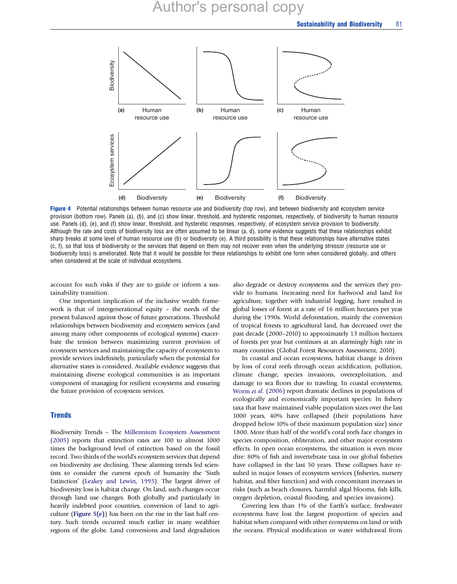# Author's personal copy

<span id="page-11-0"></span>

Figure 4 Potential relationships between human resource use and biodiversity (top row), and between biodiversity and ecosystem service provision (bottom row). Panels (a), (b), and (c) show linear, threshold, and hysteretic responses, respectively, of biodiversity to human resource use. Panels (d), (e), and (f) show linear, threshold, and hysteretic responses, respectively, of ecosystem service provision to biodiversity. Although the rate and costs of biodiversity loss are often assumed to be linear (a, d), some evidence suggests that these relationships exhibit sharp breaks at some level of human resource use (b) or biodiversity (e). A third possibility is that these relationships have alternative states (c, f), so that loss of biodiversity or the services that depend on them may not recover even when the underlying stressor (resource use or biodiversity loss) is ameliorated. Note that it would be possible for these relationships to exhibit one form when considered globally, and others when considered at the scale of individual ecosystems.

account for such risks if they are to guide or inform a sustainability transition.

One important implication of the inclusive wealth framework is that of intergenerational equity – the needs of the present balanced against those of future generations. Threshold relationships between biodiversity and ecosystem services (and among many other components of ecological systems) exacerbate the tension between maximizing current provision of ecosystem services and maintaining the capacity of ecosystem to provide services indefinitely, particularly when the potential for alternative states is considered. Available evidence suggests that maintaining diverse ecological communities is an important component of managing for resilient ecosystems and ensuring the future provision of ecosystem services.

# **Trends**

Biodiversity Trends – The [Millennium Ecosystem Assessment](#page-14-0) [\(2005\)](#page-14-0) reports that extinction rates are 100 to almost 1000 times the background level of extinction based on the fossil record. Two thirds of the world's ecosystem services that depend on biodiversity are declining. These alarming trends led scientists to consider the current epoch of humanity the 'Sixth Extinction' ([Leakey and Lewin, 1995\)](#page-14-0). The largest driver of biodiversity loss is habitat change. On land, such changes occur through land use changes. Both globally and particularly in heavily indebted poor countries, conversion of land to agriculture (Figure  $5(e)$ ) has been on the rise in the last half century. Such trends occurred much earlier in many wealthier regions of the globe. Land conversions and land degradation also degrade or destroy ecosystems and the services they provide to humans. Increasing need for fuelwood and land for agriculture, together with industrial logging, have resulted in global losses of forest at a rate of 16 million hectares per year during the 1990s. World deforestation, mainly the conversion of tropical forests to agricultural land, has decreased over the past decade (2000–2010) to approximately 13 million hectares of forests per year but continues at an alarmingly high rate in many countries (Global Forest Resources Assessment, 2010).

In coastal and ocean ecosystems, habitat change is driven by loss of coral reefs through ocean acidification, pollution, climate change, species invasions, overexploitation, and damage to sea floors due to trawling. In coastal ecosystems, Worm et al. [\(2006\)](#page-14-0) report dramatic declines in populations of ecologically and economically important species: In fishery taxa that have maintained viable population sizes over the last 1000 years, 40% have collapsed (their populations have dropped below 10% of their maximum population size) since 1800. More than half of the world's coral reefs face changes in species composition, obliteration, and other major ecosystem effects. In open ocean ecosystems, the situation is even more dire: 80% of fish and invertebrate taxa in our global fisheries have collapsed in the last 50 years. These collapses have resulted in major losses of ecosystem services (fisheries, nursery habitat, and filter function) and with concomitant increases in risks (such as beach closures, harmful algal blooms, fish kills, oxygen depletion, coastal flooding, and species invasions).

Covering less than 1% of the Earth's surface, freshwater ecosystems have lost the largest proportion of species and habitat when compared with other ecosystems on land or with the oceans. Physical modification or water withdrawal from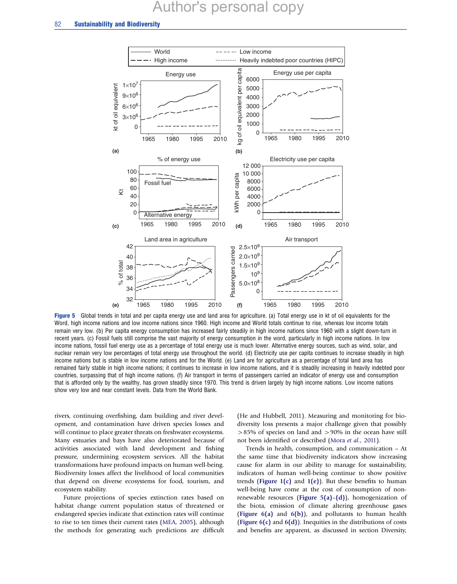<span id="page-12-0"></span>

Figure 5 Global trends in total and per capita energy use and land area for agriculture. (a) Total energy use in kt of oil equivalents for the Word, high income nations and low income nations since 1960. High income and World totals continue to rise, whereas low income totals remain very low. (b) Per capita energy consumption has increased fairly steadily in high income nations since 1960 with a slight down-turn in recent years. (c) Fossil fuels still comprise the vast majority of energy consumption in the word, particularly in high income nations. In low income nations, fossil fuel energy use as a percentage of total energy use is much lower. Alternative energy sources, such as wind, solar, and nuclear remain very low percentages of total energy use throughout the world. (d) Electricity use per capita continues to increase steadily in high income nations but is stable in low income nations and for the World. (e) Land are for agriculture as a percentage of total land area has remained fairly stable in high income nations; it continues to increase in low income nations, and it is steadily increasing in heavily indebted poor countries, surpassing that of high income nations. (f) Air transport in terms of passengers carried an indicator of energy use and consumption that is afforded only by the wealthy, has grown steadily since 1970. This trend is driven largely by high income nations. Low income nations show very low and near constant levels. Data from the World Bank.

rivers, continuing overfishing, dam building and river development, and contamination have driven species losses and will continue to place greater threats on freshwater ecosystems. Many estuaries and bays have also deteriorated because of activities associated with land development and fishing pressure, undermining ecosystem services. All the habitat transformations have profound impacts on human well-being. Biodiversity losses affect the livelihood of local communities that depend on diverse ecosystems for food, tourism, and ecosystem stability.

Future projections of species extinction rates based on habitat change current population status of threatened or endangered species indicate that extinction rates will continue to rise to ten times their current rates ([MEA, 2005\)](#page-14-0), although the methods for generating such predictions are difficult

(He and Hubbell, 2011). Measuring and monitoring for biodiversity loss presents a major challenge given that possibly  $>85%$  of species on land and  $>90%$  in the ocean have still not been identified or described (Mora et al.[, 2011](#page-14-0)).

Trends in health, consumption, and communication – At the same time that biodiversity indicators show increasing cause for alarm in our ability to manage for sustainability, indicators of human well-being continue to show positive trends (Figure  $1(c)$  and  $1(e)$ ). But these benefits to human well-being have come at the cost of consumption of nonrenewable resources (Figure  $5(a)-(d)$ ), homogenization of the biota, emission of climate altering greenhouse gases (Figure  $6(a)$  and  $6(b)$ ), and pollutants to human health (Figure  $6(c)$  and  $6(d)$ ). Inequities in the distributions of costs and benefits are apparent, as discussed in [section Diversity,](#page-10-0)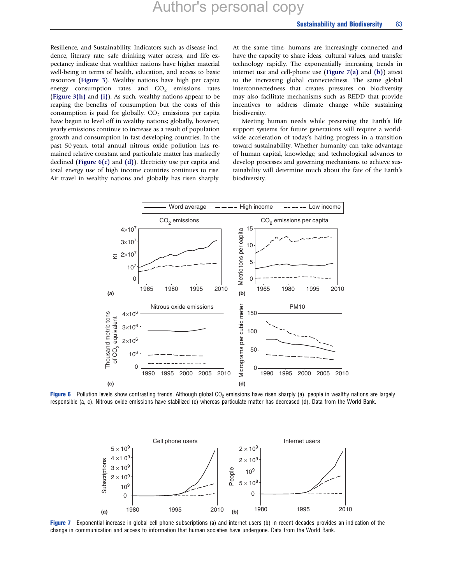<span id="page-13-0"></span>[Resilience, and Sustainability.](#page-10-0) Indicators such as disease incidence, literacy rate, safe drinking water access, and life expectancy indicate that wealthier nations have higher material well-being in terms of health, education, and access to basic resources ([Figure 3](#page-8-0)). Wealthy nations have high per capita energy consumption rates and  $CO<sub>2</sub>$  emissions rates ([Figure 3\(h\)](#page-8-0) and (i)). As such, wealthy nations appear to be reaping the benefits of consumption but the costs of this consumption is paid for globally.  $CO<sub>2</sub>$  emissions per capita have begun to level off in wealthy nations; globally, however, yearly emissions continue to increase as a result of population growth and consumption in fast developing countries. In the past 50 years, total annual nitrous oxide pollution has remained relative constant and particulate matter has markedly declined (Figure 6(c) and (d)). Electricity use per capita and total energy use of high income countries continues to rise. Air travel in wealthy nations and globally has risen sharply.

At the same time, humans are increasingly connected and have the capacity to share ideas, cultural values, and transfer technology rapidly. The exponentially increasing trends in internet use and cell-phone use (Figure 7(a) and (b)) attest to the increasing global connectedness. The same global interconnectedness that creates pressures on biodiversity may also facilitate mechanisms such as REDD that provide incentives to address climate change while sustaining biodiversity.

Meeting human needs while preserving the Earth's life support systems for future generations will require a worldwide acceleration of today's halting progress in a transition toward sustainability. Whether humanity can take advantage of human capital, knowledge, and technological advances to develop processes and governing mechanisms to achieve sustainability will determine much about the fate of the Earth's biodiversity.



Figure 6 Pollution levels show contrasting trends. Although global CO<sub>2</sub> emissions have risen sharply (a), people in wealthy nations are largely responsible (a, c). Nitrous oxide emissions have stabilized (c) whereas particulate matter has decreased (d). Data from the World Bank.



Figure 7 Exponential increase in global cell phone subscriptions (a) and internet users (b) in recent decades provides an indication of the change in communication and access to information that human societies have undergone. Data from the World Bank.